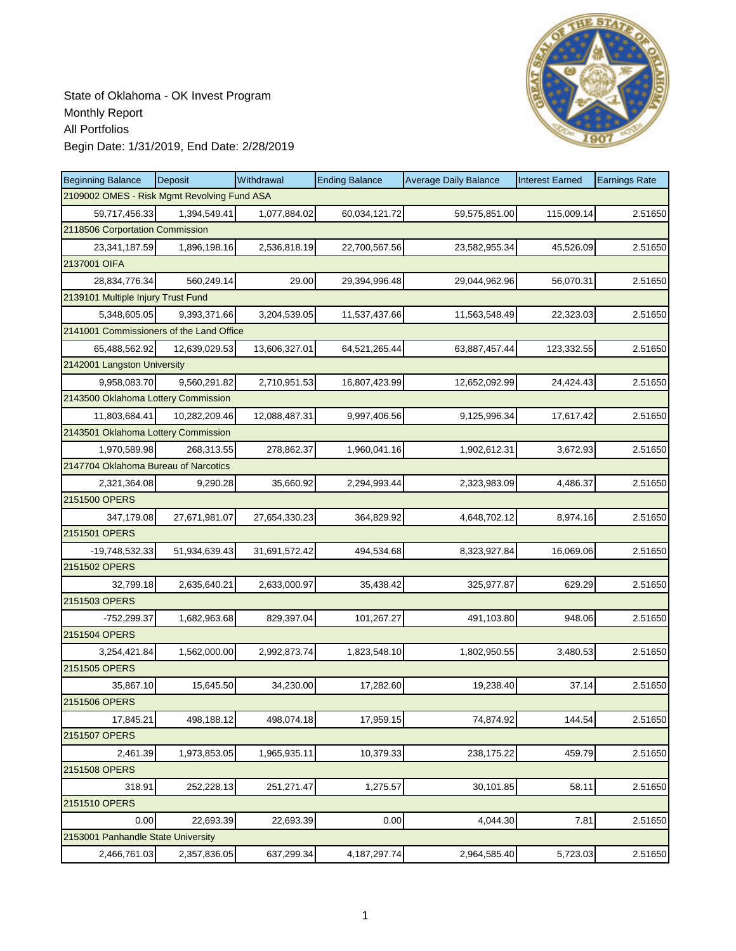

| <b>Beginning Balance</b>                    | Deposit       | Withdrawal    | <b>Ending Balance</b> | <b>Average Daily Balance</b> | <b>Interest Earned</b> | <b>Earnings Rate</b> |
|---------------------------------------------|---------------|---------------|-----------------------|------------------------------|------------------------|----------------------|
| 2109002 OMES - Risk Mgmt Revolving Fund ASA |               |               |                       |                              |                        |                      |
| 59,717,456.33                               | 1,394,549.41  | 1,077,884.02  | 60,034,121.72         | 59,575,851.00                | 115,009.14             | 2.51650              |
| 2118506 Corportation Commission             |               |               |                       |                              |                        |                      |
| 23,341,187.59                               | 1,896,198.16  | 2,536,818.19  | 22,700,567.56         | 23,582,955.34                | 45,526.09              | 2.51650              |
| 2137001 OIFA                                |               |               |                       |                              |                        |                      |
| 28,834,776.34                               | 560,249.14    | 29.00         | 29,394,996.48         | 29,044,962.96                | 56,070.31              | 2.51650              |
| 2139101 Multiple Injury Trust Fund          |               |               |                       |                              |                        |                      |
| 5,348,605.05                                | 9,393,371.66  | 3,204,539.05  | 11,537,437.66         | 11,563,548.49                | 22,323.03              | 2.51650              |
| 2141001 Commissioners of the Land Office    |               |               |                       |                              |                        |                      |
| 65,488,562.92                               | 12,639,029.53 | 13,606,327.01 | 64,521,265.44         | 63,887,457.44                | 123,332.55             | 2.51650              |
| 2142001 Langston University                 |               |               |                       |                              |                        |                      |
| 9,958,083.70                                | 9,560,291.82  | 2,710,951.53  | 16,807,423.99         | 12,652,092.99                | 24,424.43              | 2.51650              |
| 2143500 Oklahoma Lottery Commission         |               |               |                       |                              |                        |                      |
| 11,803,684.41                               | 10,282,209.46 | 12,088,487.31 | 9,997,406.56          | 9,125,996.34                 | 17,617.42              | 2.51650              |
| 2143501 Oklahoma Lottery Commission         |               |               |                       |                              |                        |                      |
| 1,970,589.98                                | 268.313.55    | 278,862.37    | 1,960,041.16          | 1,902,612.31                 | 3,672.93               | 2.51650              |
| 2147704 Oklahoma Bureau of Narcotics        |               |               |                       |                              |                        |                      |
| 2,321,364.08                                | 9,290.28      | 35,660.92     | 2,294,993.44          | 2,323,983.09                 | 4,486.37               | 2.51650              |
| 2151500 OPERS                               |               |               |                       |                              |                        |                      |
| 347,179.08                                  | 27,671,981.07 | 27,654,330.23 | 364,829.92            | 4,648,702.12                 | 8,974.16               | 2.51650              |
| 2151501 OPERS                               |               |               |                       |                              |                        |                      |
| -19,748,532.33                              | 51,934,639.43 | 31,691,572.42 | 494,534.68            | 8,323,927.84                 | 16,069.06              | 2.51650              |
| 2151502 OPERS                               |               |               |                       |                              |                        |                      |
| 32,799.18                                   | 2,635,640.21  | 2,633,000.97  | 35,438.42             | 325,977.87                   | 629.29                 | 2.51650              |
| 2151503 OPERS                               |               |               |                       |                              |                        |                      |
| -752,299.37                                 | 1,682,963.68  | 829,397.04    | 101,267.27            | 491,103.80                   | 948.06                 | 2.51650              |
| 2151504 OPERS                               |               |               |                       |                              |                        |                      |
| 3,254,421.84                                | 1,562,000.00  | 2,992,873.74  | 1,823,548.10          | 1,802,950.55                 | 3,480.53               | 2.51650              |
| 2151505 OPERS                               |               |               |                       |                              |                        |                      |
| 35,867.10                                   | 15,645.50     | 34,230.00     | 17,282.60             | 19,238.40                    | 37.14                  | 2.51650              |
| 2151506 OPERS                               |               |               |                       |                              |                        |                      |
| 17,845.21                                   | 498,188.12    | 498,074.18    | 17,959.15             | 74,874.92                    | 144.54                 | 2.51650              |
| 2151507 OPERS                               |               |               |                       |                              |                        |                      |
| 2,461.39                                    | 1,973,853.05  | 1,965,935.11  | 10,379.33             | 238,175.22                   | 459.79                 | 2.51650              |
| 2151508 OPERS                               |               |               |                       |                              |                        |                      |
| 318.91                                      | 252,228.13    | 251,271.47    | 1,275.57              | 30,101.85                    | 58.11                  | 2.51650              |
| 2151510 OPERS                               |               |               |                       |                              |                        |                      |
| 0.00                                        | 22,693.39     | 22,693.39     | 0.00                  | 4,044.30                     | 7.81                   | 2.51650              |
| 2153001 Panhandle State University          |               |               |                       |                              |                        |                      |
| 2,466,761.03                                | 2,357,836.05  | 637,299.34    | 4, 187, 297. 74       | 2,964,585.40                 | 5,723.03               | 2.51650              |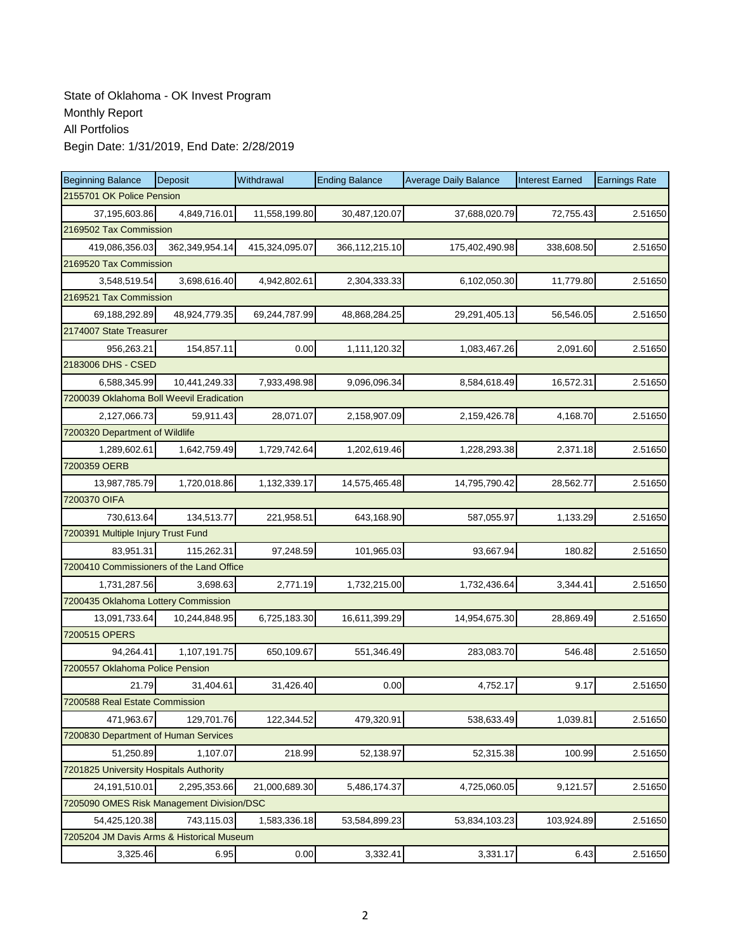| <b>Beginning Balance</b>                  | Deposit        | Withdrawal     | <b>Ending Balance</b> | <b>Average Daily Balance</b> | <b>Interest Earned</b> | <b>Earnings Rate</b> |  |  |  |
|-------------------------------------------|----------------|----------------|-----------------------|------------------------------|------------------------|----------------------|--|--|--|
| 2155701 OK Police Pension                 |                |                |                       |                              |                        |                      |  |  |  |
| 37,195,603.86                             | 4,849,716.01   | 11,558,199.80  | 30,487,120.07         | 37,688,020.79                | 72,755.43              | 2.51650              |  |  |  |
| 2169502 Tax Commission                    |                |                |                       |                              |                        |                      |  |  |  |
| 419,086,356.03                            | 362,349,954.14 | 415,324,095.07 | 366,112,215.10        | 175,402,490.98               | 338,608.50             | 2.51650              |  |  |  |
| 2169520 Tax Commission                    |                |                |                       |                              |                        |                      |  |  |  |
| 3,548,519.54                              | 3,698,616.40   | 4,942,802.61   | 2,304,333.33          | 6,102,050.30                 | 11,779.80              | 2.51650              |  |  |  |
| 2169521 Tax Commission                    |                |                |                       |                              |                        |                      |  |  |  |
| 69,188,292.89                             | 48,924,779.35  | 69,244,787.99  | 48,868,284.25         | 29,291,405.13                | 56,546.05              | 2.51650              |  |  |  |
| 2174007 State Treasurer                   |                |                |                       |                              |                        |                      |  |  |  |
| 956,263.21                                | 154,857.11     | 0.00           | 1,111,120.32          | 1,083,467.26                 | 2,091.60               | 2.51650              |  |  |  |
| 2183006 DHS - CSED                        |                |                |                       |                              |                        |                      |  |  |  |
| 6,588,345.99                              | 10,441,249.33  | 7,933,498.98   | 9,096,096.34          | 8,584,618.49                 | 16,572.31              | 2.51650              |  |  |  |
| 7200039 Oklahoma Boll Weevil Eradication  |                |                |                       |                              |                        |                      |  |  |  |
| 2,127,066.73                              | 59,911.43      | 28,071.07      | 2,158,907.09          | 2,159,426.78                 | 4,168.70               | 2.51650              |  |  |  |
| 7200320 Department of Wildlife            |                |                |                       |                              |                        |                      |  |  |  |
| 1,289,602.61                              | 1,642,759.49   | 1,729,742.64   | 1,202,619.46          | 1,228,293.38                 | 2,371.18               | 2.51650              |  |  |  |
| 7200359 OERB                              |                |                |                       |                              |                        |                      |  |  |  |
| 13,987,785.79                             | 1,720,018.86   | 1,132,339.17   | 14,575,465.48         | 14,795,790.42                | 28,562.77              | 2.51650              |  |  |  |
| 7200370 OIFA                              |                |                |                       |                              |                        |                      |  |  |  |
| 730,613.64                                | 134,513.77     | 221,958.51     | 643,168.90            | 587,055.97                   | 1,133.29               | 2.51650              |  |  |  |
| 7200391 Multiple Injury Trust Fund        |                |                |                       |                              |                        |                      |  |  |  |
| 83,951.31                                 | 115,262.31     | 97,248.59      | 101,965.03            | 93,667.94                    | 180.82                 | 2.51650              |  |  |  |
| 7200410 Commissioners of the Land Office  |                |                |                       |                              |                        |                      |  |  |  |
| 1,731,287.56                              | 3,698.63       | 2,771.19       | 1,732,215.00          | 1,732,436.64                 | 3,344.41               | 2.51650              |  |  |  |
| 7200435 Oklahoma Lottery Commission       |                |                |                       |                              |                        |                      |  |  |  |
| 13,091,733.64                             | 10,244,848.95  | 6,725,183.30   | 16,611,399.29         | 14,954,675.30                | 28,869.49              | 2.51650              |  |  |  |
| 7200515 OPERS                             |                |                |                       |                              |                        |                      |  |  |  |
| 94,264.41                                 | 1,107,191.75   | 650,109.67     | 551,346.49            | 283,083.70                   | 546.48                 | 2.51650              |  |  |  |
| 7200557 Oklahoma Police Pension           |                |                |                       |                              |                        |                      |  |  |  |
| 21.79                                     | 31,404.61      | 31,426.40      | 0.00                  | 4,752.17                     | 9.17                   | 2.51650              |  |  |  |
| 7200588 Real Estate Commission            |                |                |                       |                              |                        |                      |  |  |  |
| 471,963.67                                | 129,701.76     | 122,344.52     | 479,320.91            | 538,633.49                   | 1,039.81               | 2.51650              |  |  |  |
| 7200830 Department of Human Services      |                |                |                       |                              |                        |                      |  |  |  |
| 51,250.89                                 | 1.107.07       | 218.99         | 52,138.97             | 52,315.38                    | 100.99                 | 2.51650              |  |  |  |
| 7201825 University Hospitals Authority    |                |                |                       |                              |                        |                      |  |  |  |
| 24,191,510.01                             | 2,295,353.66   | 21,000,689.30  | 5,486,174.37          | 4,725,060.05                 | 9,121.57               | 2.51650              |  |  |  |
| 7205090 OMES Risk Management Division/DSC |                |                |                       |                              |                        |                      |  |  |  |
| 54,425,120.38                             | 743,115.03     | 1,583,336.18   | 53,584,899.23         | 53,834,103.23                | 103,924.89             | 2.51650              |  |  |  |
| 7205204 JM Davis Arms & Historical Museum |                |                |                       |                              |                        |                      |  |  |  |
| 3,325.46                                  | 6.95           | 0.00           | 3,332.41              | 3,331.17                     | 6.43                   | 2.51650              |  |  |  |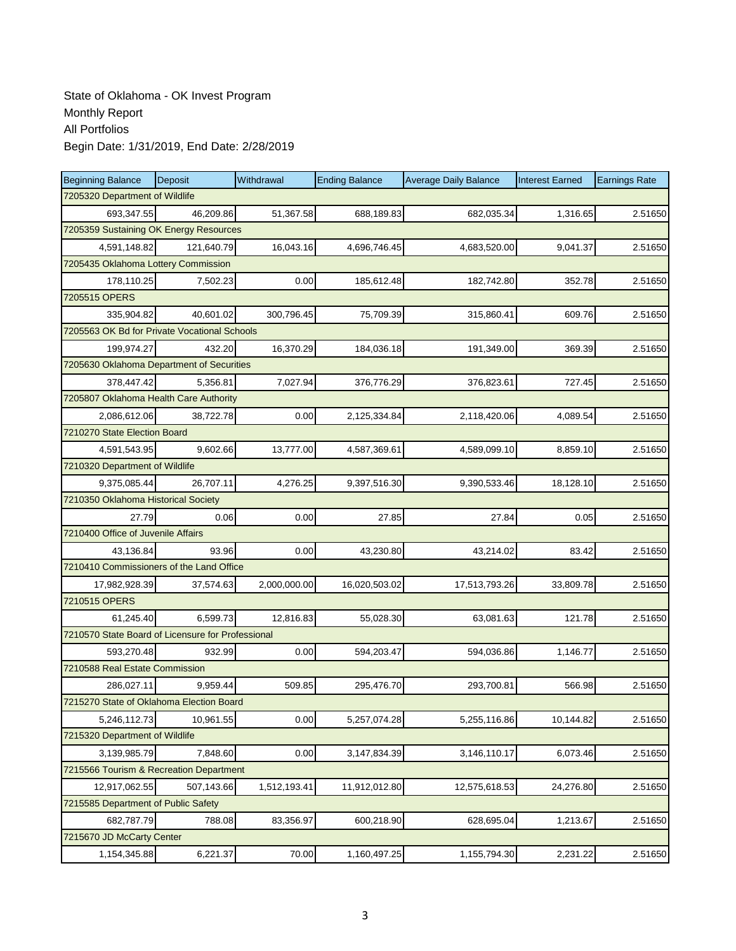| <b>Beginning Balance</b>                          | Deposit    | Withdrawal   | <b>Ending Balance</b> | <b>Average Daily Balance</b> | <b>Interest Earned</b> | <b>Earnings Rate</b> |
|---------------------------------------------------|------------|--------------|-----------------------|------------------------------|------------------------|----------------------|
| 7205320 Department of Wildlife                    |            |              |                       |                              |                        |                      |
| 693,347.55                                        | 46,209.86  | 51,367.58    | 688,189.83            | 682,035.34                   | 1,316.65               | 2.51650              |
| 7205359 Sustaining OK Energy Resources            |            |              |                       |                              |                        |                      |
| 4,591,148.82                                      | 121,640.79 | 16,043.16    | 4,696,746.45          | 4,683,520.00                 | 9,041.37               | 2.51650              |
| 7205435 Oklahoma Lottery Commission               |            |              |                       |                              |                        |                      |
| 178,110.25                                        | 7,502.23   | 0.00         | 185,612.48            | 182,742.80                   | 352.78                 | 2.51650              |
| 7205515 OPERS                                     |            |              |                       |                              |                        |                      |
| 335,904.82                                        | 40,601.02  | 300,796.45   | 75,709.39             | 315,860.41                   | 609.76                 | 2.51650              |
| 7205563 OK Bd for Private Vocational Schools      |            |              |                       |                              |                        |                      |
| 199,974.27                                        | 432.20     | 16,370.29    | 184,036.18            | 191,349.00                   | 369.39                 | 2.51650              |
| 7205630 Oklahoma Department of Securities         |            |              |                       |                              |                        |                      |
| 378,447.42                                        | 5,356.81   | 7,027.94     | 376,776.29            | 376,823.61                   | 727.45                 | 2.51650              |
| 7205807 Oklahoma Health Care Authority            |            |              |                       |                              |                        |                      |
| 2,086,612.06                                      | 38,722.78  | 0.00         | 2,125,334.84          | 2,118,420.06                 | 4,089.54               | 2.51650              |
| 7210270 State Election Board                      |            |              |                       |                              |                        |                      |
| 4,591,543.95                                      | 9,602.66   | 13,777.00    | 4,587,369.61          | 4,589,099.10                 | 8,859.10               | 2.51650              |
| 7210320 Department of Wildlife                    |            |              |                       |                              |                        |                      |
| 9,375,085.44                                      | 26,707.11  | 4,276.25     | 9,397,516.30          | 9,390,533.46                 | 18,128.10              | 2.51650              |
| 7210350 Oklahoma Historical Society               |            |              |                       |                              |                        |                      |
| 27.79                                             | 0.06       | 0.00         | 27.85                 | 27.84                        | 0.05                   | 2.51650              |
| 7210400 Office of Juvenile Affairs                |            |              |                       |                              |                        |                      |
| 43,136.84                                         | 93.96      | 0.00         | 43,230.80             | 43,214.02                    | 83.42                  | 2.51650              |
| 7210410 Commissioners of the Land Office          |            |              |                       |                              |                        |                      |
| 17,982,928.39                                     | 37,574.63  | 2,000,000.00 | 16,020,503.02         | 17,513,793.26                | 33,809.78              | 2.51650              |
| 7210515 OPERS                                     |            |              |                       |                              |                        |                      |
| 61,245.40                                         | 6,599.73   | 12,816.83    | 55,028.30             | 63,081.63                    | 121.78                 | 2.51650              |
| 7210570 State Board of Licensure for Professional |            |              |                       |                              |                        |                      |
| 593,270.48                                        | 932.99     | 0.00         | 594,203.47            | 594,036.86                   | 1,146.77               | 2.51650              |
| 7210588 Real Estate Commission                    |            |              |                       |                              |                        |                      |
| 286,027.11                                        | 9,959.44   | 509.85       | 295,476.70            | 293,700.81                   | 566.98                 | 2.51650              |
| 7215270 State of Oklahoma Election Board          |            |              |                       |                              |                        |                      |
| 5,246,112.73                                      | 10,961.55  | 0.00         | 5,257,074.28          | 5,255,116.86                 | 10,144.82              | 2.51650              |
| 7215320 Department of Wildlife                    |            |              |                       |                              |                        |                      |
| 3,139,985.79                                      | 7,848.60   | 0.00         | 3,147,834.39          | 3,146,110.17                 | 6,073.46               | 2.51650              |
| 7215566 Tourism & Recreation Department           |            |              |                       |                              |                        |                      |
| 12,917,062.55                                     | 507,143.66 | 1,512,193.41 | 11,912,012.80         | 12,575,618.53                | 24,276.80              | 2.51650              |
| 7215585 Department of Public Safety               |            |              |                       |                              |                        |                      |
| 682,787.79                                        | 788.08     | 83,356.97    | 600,218.90            | 628,695.04                   | 1,213.67               | 2.51650              |
| 7215670 JD McCarty Center                         |            |              |                       |                              |                        |                      |
| 1,154,345.88                                      | 6,221.37   | 70.00        | 1,160,497.25          | 1,155,794.30                 | 2,231.22               | 2.51650              |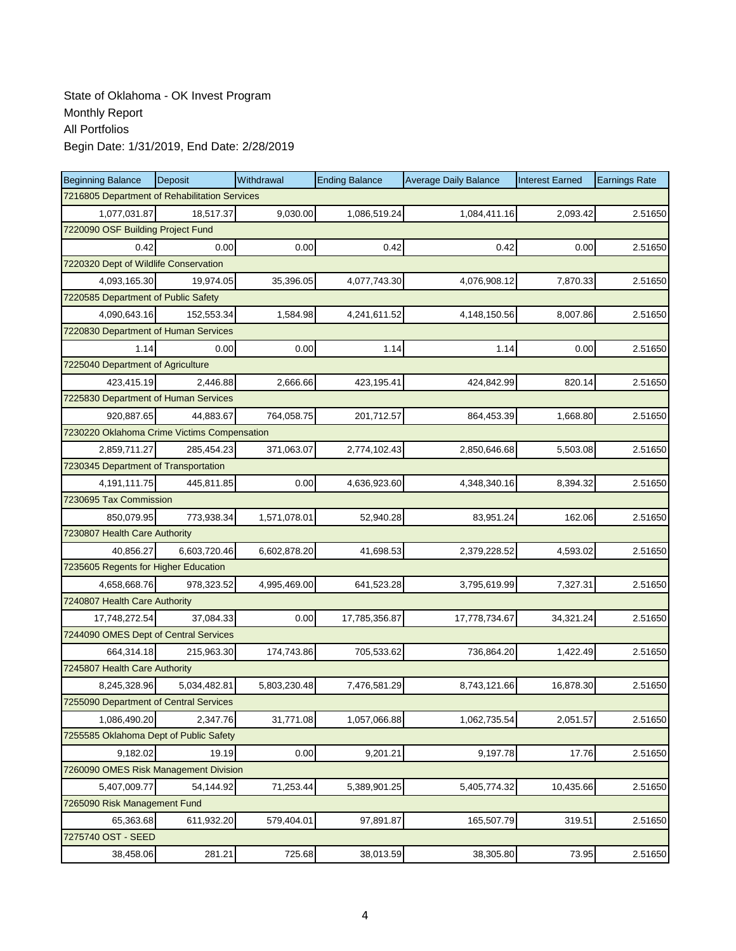| <b>Beginning Balance</b>                      | Deposit      | Withdrawal   | <b>Ending Balance</b> | <b>Average Daily Balance</b> | <b>Interest Earned</b> | <b>Earnings Rate</b> |
|-----------------------------------------------|--------------|--------------|-----------------------|------------------------------|------------------------|----------------------|
| 7216805 Department of Rehabilitation Services |              |              |                       |                              |                        |                      |
| 1,077,031.87                                  | 18,517.37    | 9,030.00     | 1,086,519.24          | 1,084,411.16                 | 2,093.42               | 2.51650              |
| 7220090 OSF Building Project Fund             |              |              |                       |                              |                        |                      |
| 0.42                                          | 0.00         | 0.00         | 0.42                  | 0.42                         | 0.00                   | 2.51650              |
| 7220320 Dept of Wildlife Conservation         |              |              |                       |                              |                        |                      |
| 4,093,165.30                                  | 19,974.05    | 35,396.05    | 4,077,743.30          | 4,076,908.12                 | 7,870.33               | 2.51650              |
| 7220585 Department of Public Safety           |              |              |                       |                              |                        |                      |
| 4.090.643.16                                  | 152.553.34   | 1,584.98     | 4,241,611.52          | 4,148,150.56                 | 8,007.86               | 2.51650              |
| 7220830 Department of Human Services          |              |              |                       |                              |                        |                      |
| 1.14                                          | 0.00         | 0.00         | 1.14                  | 1.14                         | 0.00                   | 2.51650              |
| 7225040 Department of Agriculture             |              |              |                       |                              |                        |                      |
| 423,415.19                                    | 2,446.88     | 2,666.66     | 423,195.41            | 424,842.99                   | 820.14                 | 2.51650              |
| 7225830 Department of Human Services          |              |              |                       |                              |                        |                      |
| 920,887.65                                    | 44,883.67    | 764,058.75   | 201,712.57            | 864,453.39                   | 1,668.80               | 2.51650              |
| 7230220 Oklahoma Crime Victims Compensation   |              |              |                       |                              |                        |                      |
| 2,859,711.27                                  | 285.454.23   | 371,063.07   | 2,774,102.43          | 2,850,646.68                 | 5,503.08               | 2.51650              |
| 7230345 Department of Transportation          |              |              |                       |                              |                        |                      |
| 4,191,111.75                                  | 445,811.85   | 0.00         | 4,636,923.60          | 4,348,340.16                 | 8,394.32               | 2.51650              |
| 7230695 Tax Commission                        |              |              |                       |                              |                        |                      |
| 850,079.95                                    | 773,938.34   | 1,571,078.01 | 52,940.28             | 83,951.24                    | 162.06                 | 2.51650              |
| 7230807 Health Care Authority                 |              |              |                       |                              |                        |                      |
| 40,856.27                                     | 6,603,720.46 | 6,602,878.20 | 41,698.53             | 2,379,228.52                 | 4,593.02               | 2.51650              |
| 7235605 Regents for Higher Education          |              |              |                       |                              |                        |                      |
| 4,658,668.76                                  | 978,323.52   | 4,995,469.00 | 641,523.28            | 3,795,619.99                 | 7,327.31               | 2.51650              |
| 7240807 Health Care Authority                 |              |              |                       |                              |                        |                      |
| 17,748,272.54                                 | 37,084.33    | 0.00         | 17,785,356.87         | 17,778,734.67                | 34,321.24              | 2.51650              |
| 7244090 OMES Dept of Central Services         |              |              |                       |                              |                        |                      |
| 664,314.18                                    | 215,963.30   | 174,743.86   | 705,533.62            | 736,864.20                   | 1,422.49               | 2.51650              |
| 7245807 Health Care Authority                 |              |              |                       |                              |                        |                      |
| 8,245,328.96                                  | 5.034.482.81 | 5,803,230.48 | 7,476,581.29          | 8,743,121.66                 | 16,878.30              | 2.51650              |
| 7255090 Department of Central Services        |              |              |                       |                              |                        |                      |
| 1,086,490.20                                  | 2,347.76     | 31,771.08    | 1,057,066.88          | 1,062,735.54                 | 2,051.57               | 2.51650              |
| 7255585 Oklahoma Dept of Public Safety        |              |              |                       |                              |                        |                      |
| 9,182.02                                      | 19.19        | 0.00         | 9,201.21              | 9,197.78                     | 17.76                  | 2.51650              |
| 7260090 OMES Risk Management Division         |              |              |                       |                              |                        |                      |
| 5,407,009.77                                  | 54,144.92    | 71,253.44    | 5,389,901.25          | 5,405,774.32                 | 10,435.66              | 2.51650              |
| 7265090 Risk Management Fund                  |              |              |                       |                              |                        |                      |
| 65,363.68                                     | 611,932.20   | 579,404.01   | 97,891.87             | 165,507.79                   | 319.51                 | 2.51650              |
| 7275740 OST - SEED                            |              |              |                       |                              |                        |                      |
| 38,458.06                                     | 281.21       | 725.68       | 38,013.59             | 38,305.80                    | 73.95                  | 2.51650              |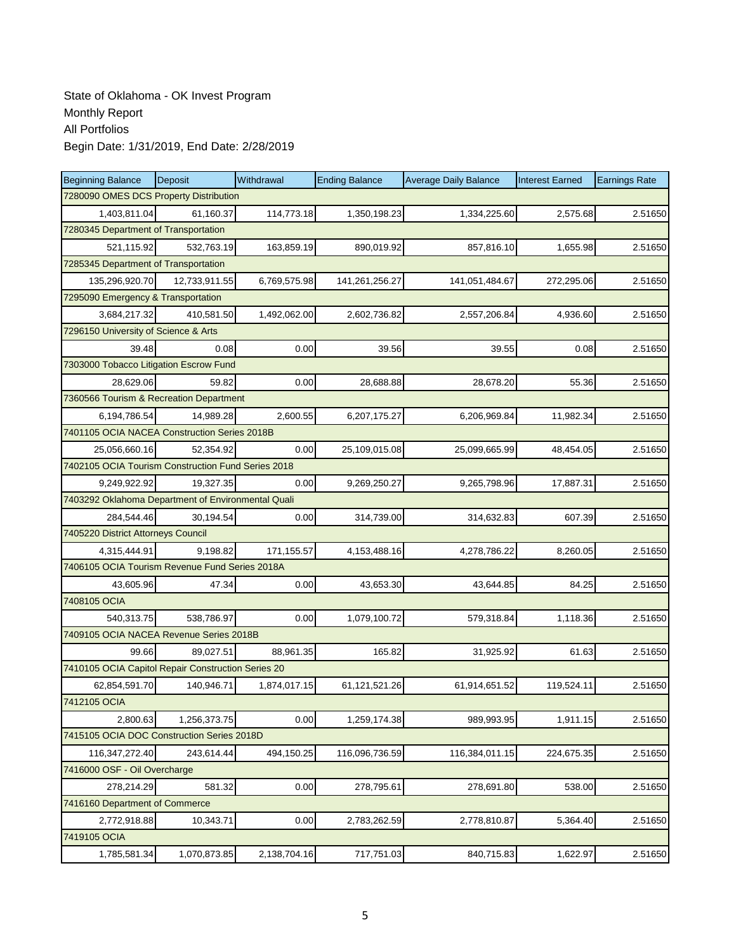| <b>Beginning Balance</b>                           | <b>Deposit</b> | Withdrawal   | <b>Ending Balance</b> | <b>Average Daily Balance</b> | <b>Interest Earned</b> | <b>Earnings Rate</b> |  |  |  |
|----------------------------------------------------|----------------|--------------|-----------------------|------------------------------|------------------------|----------------------|--|--|--|
| 7280090 OMES DCS Property Distribution             |                |              |                       |                              |                        |                      |  |  |  |
| 1,403,811.04                                       | 61,160.37      | 114,773.18   | 1,350,198.23          | 1,334,225.60                 | 2,575.68               | 2.51650              |  |  |  |
| 7280345 Department of Transportation               |                |              |                       |                              |                        |                      |  |  |  |
| 521,115.92                                         | 532,763.19     | 163,859.19   | 890,019.92            | 857,816.10                   | 1,655.98               | 2.51650              |  |  |  |
| 7285345 Department of Transportation               |                |              |                       |                              |                        |                      |  |  |  |
| 135,296,920.70                                     | 12,733,911.55  | 6,769,575.98 | 141,261,256.27        | 141,051,484.67               | 272,295.06             | 2.51650              |  |  |  |
| 7295090 Emergency & Transportation                 |                |              |                       |                              |                        |                      |  |  |  |
| 3,684,217.32                                       | 410,581.50     | 1,492,062.00 | 2,602,736.82          | 2,557,206.84                 | 4,936.60               | 2.51650              |  |  |  |
| 7296150 University of Science & Arts               |                |              |                       |                              |                        |                      |  |  |  |
| 39.48                                              | 0.08           | 0.00         | 39.56                 | 39.55                        | 0.08                   | 2.51650              |  |  |  |
| 7303000 Tobacco Litigation Escrow Fund             |                |              |                       |                              |                        |                      |  |  |  |
| 28,629.06                                          | 59.82          | 0.00         | 28,688.88             | 28,678.20                    | 55.36                  | 2.51650              |  |  |  |
| 7360566 Tourism & Recreation Department            |                |              |                       |                              |                        |                      |  |  |  |
| 6,194,786.54                                       | 14,989.28      | 2,600.55     | 6,207,175.27          | 6,206,969.84                 | 11,982.34              | 2.51650              |  |  |  |
| 7401105 OCIA NACEA Construction Series 2018B       |                |              |                       |                              |                        |                      |  |  |  |
| 25,056,660.16                                      | 52,354.92      | 0.00         | 25,109,015.08         | 25,099,665.99                | 48,454.05              | 2.51650              |  |  |  |
| 7402105 OCIA Tourism Construction Fund Series 2018 |                |              |                       |                              |                        |                      |  |  |  |
| 9,249,922.92                                       | 19,327.35      | 0.00         | 9,269,250.27          | 9,265,798.96                 | 17,887.31              | 2.51650              |  |  |  |
| 7403292 Oklahoma Department of Environmental Quali |                |              |                       |                              |                        |                      |  |  |  |
| 284,544.46                                         | 30,194.54      | 0.00         | 314,739.00            | 314,632.83                   | 607.39                 | 2.51650              |  |  |  |
| 7405220 District Attorneys Council                 |                |              |                       |                              |                        |                      |  |  |  |
| 4,315,444.91                                       | 9,198.82       | 171,155.57   | 4,153,488.16          | 4,278,786.22                 | 8,260.05               | 2.51650              |  |  |  |
| 7406105 OCIA Tourism Revenue Fund Series 2018A     |                |              |                       |                              |                        |                      |  |  |  |
| 43,605.96                                          | 47.34          | 0.00         | 43,653.30             | 43,644.85                    | 84.25                  | 2.51650              |  |  |  |
| 7408105 OCIA                                       |                |              |                       |                              |                        |                      |  |  |  |
| 540,313.75                                         | 538,786.97     | 0.00         | 1,079,100.72          | 579,318.84                   | 1,118.36               | 2.51650              |  |  |  |
| 7409105 OCIA NACEA Revenue Series 2018B            |                |              |                       |                              |                        |                      |  |  |  |
| 99.66                                              | 89,027.51      | 88,961.35    | 165.82                | 31,925.92                    | 61.63                  | 2.51650              |  |  |  |
| 7410105 OCIA Capitol Repair Construction Series 20 |                |              |                       |                              |                        |                      |  |  |  |
| 62,854,591.70                                      | 140,946.71     | 1,874,017.15 | 61,121,521.26         | 61,914,651.52                | 119,524.11             | 2.51650              |  |  |  |
| 7412105 OCIA                                       |                |              |                       |                              |                        |                      |  |  |  |
| 2,800.63                                           | 1,256,373.75   | 0.00         | 1,259,174.38          | 989,993.95                   | 1,911.15               | 2.51650              |  |  |  |
| 7415105 OCIA DOC Construction Series 2018D         |                |              |                       |                              |                        |                      |  |  |  |
| 116,347,272.40                                     | 243,614.44     | 494,150.25   | 116,096,736.59        | 116,384,011.15               | 224,675.35             | 2.51650              |  |  |  |
| 7416000 OSF - Oil Overcharge                       |                |              |                       |                              |                        |                      |  |  |  |
| 278,214.29                                         | 581.32         | 0.00         | 278,795.61            | 278,691.80                   | 538.00                 | 2.51650              |  |  |  |
| 7416160 Department of Commerce                     |                |              |                       |                              |                        |                      |  |  |  |
| 2,772,918.88                                       | 10,343.71      | 0.00         | 2,783,262.59          | 2,778,810.87                 | 5,364.40               | 2.51650              |  |  |  |
| 7419105 OCIA                                       |                |              |                       |                              |                        |                      |  |  |  |
| 1,785,581.34                                       | 1,070,873.85   | 2,138,704.16 | 717,751.03            | 840,715.83                   | 1,622.97               | 2.51650              |  |  |  |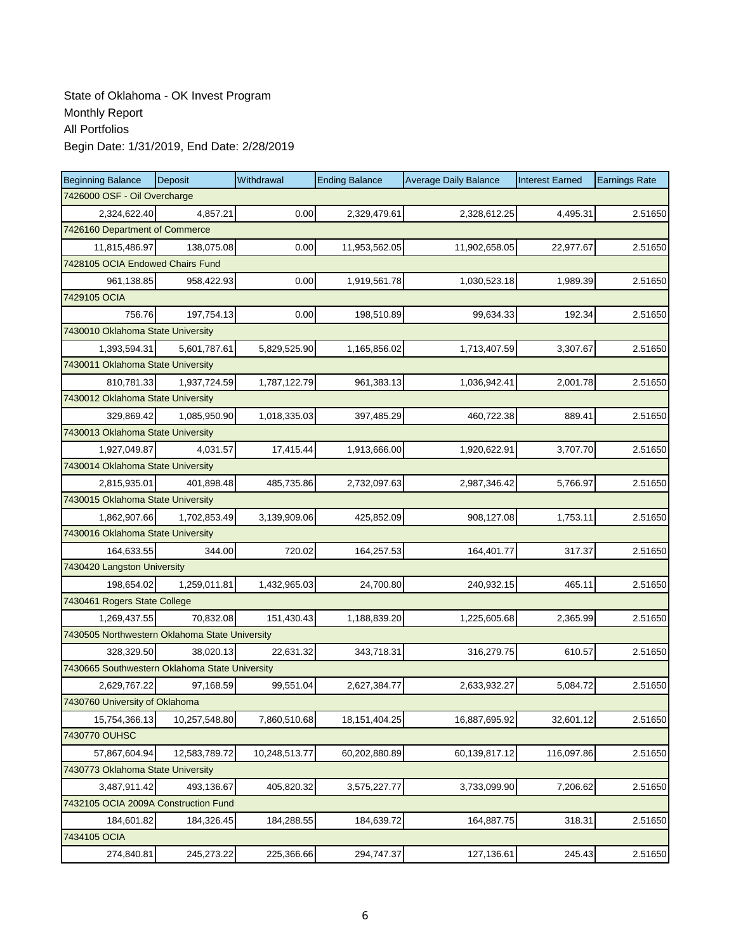| <b>Beginning Balance</b>                       | Deposit       | Withdrawal    | <b>Ending Balance</b> | <b>Average Daily Balance</b> | <b>Interest Earned</b> | <b>Earnings Rate</b> |  |  |  |
|------------------------------------------------|---------------|---------------|-----------------------|------------------------------|------------------------|----------------------|--|--|--|
| 7426000 OSF - Oil Overcharge                   |               |               |                       |                              |                        |                      |  |  |  |
| 2,324,622.40                                   | 4,857.21      | 0.00          | 2,329,479.61          | 2,328,612.25                 | 4,495.31               | 2.51650              |  |  |  |
| 7426160 Department of Commerce                 |               |               |                       |                              |                        |                      |  |  |  |
| 11,815,486.97                                  | 138,075.08    | 0.00          | 11,953,562.05         | 11,902,658.05                | 22,977.67              | 2.51650              |  |  |  |
| 7428105 OCIA Endowed Chairs Fund               |               |               |                       |                              |                        |                      |  |  |  |
| 961,138.85                                     | 958,422.93    | 0.00          | 1,919,561.78          | 1,030,523.18                 | 1,989.39               | 2.51650              |  |  |  |
| 7429105 OCIA                                   |               |               |                       |                              |                        |                      |  |  |  |
| 756.76                                         | 197,754.13    | 0.00          | 198,510.89            | 99,634.33                    | 192.34                 | 2.51650              |  |  |  |
| 7430010 Oklahoma State University              |               |               |                       |                              |                        |                      |  |  |  |
| 1,393,594.31                                   | 5,601,787.61  | 5,829,525.90  | 1,165,856.02          | 1,713,407.59                 | 3,307.67               | 2.51650              |  |  |  |
| 7430011 Oklahoma State University              |               |               |                       |                              |                        |                      |  |  |  |
| 810,781.33                                     | 1,937,724.59  | 1,787,122.79  | 961,383.13            | 1,036,942.41                 | 2,001.78               | 2.51650              |  |  |  |
| 7430012 Oklahoma State University              |               |               |                       |                              |                        |                      |  |  |  |
| 329,869.42                                     | 1,085,950.90  | 1,018,335.03  | 397,485.29            | 460,722.38                   | 889.41                 | 2.51650              |  |  |  |
| 7430013 Oklahoma State University              |               |               |                       |                              |                        |                      |  |  |  |
| 1,927,049.87                                   | 4,031.57      | 17,415.44     | 1,913,666.00          | 1,920,622.91                 | 3,707.70               | 2.51650              |  |  |  |
| 7430014 Oklahoma State University              |               |               |                       |                              |                        |                      |  |  |  |
| 2,815,935.01                                   | 401,898.48    | 485,735.86    | 2,732,097.63          | 2,987,346.42                 | 5,766.97               | 2.51650              |  |  |  |
| 7430015 Oklahoma State University              |               |               |                       |                              |                        |                      |  |  |  |
| 1,862,907.66                                   | 1,702,853.49  | 3,139,909.06  | 425,852.09            | 908,127.08                   | 1,753.11               | 2.51650              |  |  |  |
| 7430016 Oklahoma State University              |               |               |                       |                              |                        |                      |  |  |  |
| 164,633.55                                     | 344.00        | 720.02        | 164,257.53            | 164,401.77                   | 317.37                 | 2.51650              |  |  |  |
| 7430420 Langston University                    |               |               |                       |                              |                        |                      |  |  |  |
| 198,654.02                                     | 1,259,011.81  | 1,432,965.03  | 24,700.80             | 240,932.15                   | 465.11                 | 2.51650              |  |  |  |
| 7430461 Rogers State College                   |               |               |                       |                              |                        |                      |  |  |  |
| 1,269,437.55                                   | 70,832.08     | 151,430.43    | 1,188,839.20          | 1,225,605.68                 | 2,365.99               | 2.51650              |  |  |  |
| 7430505 Northwestern Oklahoma State University |               |               |                       |                              |                        |                      |  |  |  |
| 328.329.50                                     | 38,020.13     | 22,631.32     | 343,718.31            | 316,279.75                   | 610.57                 | 2.51650              |  |  |  |
| 7430665 Southwestern Oklahoma State University |               |               |                       |                              |                        |                      |  |  |  |
| 2,629,767.22                                   | 97,168.59     | 99,551.04     | 2,627,384.77          | 2,633,932.27                 | 5,084.72               | 2.51650              |  |  |  |
| 7430760 University of Oklahoma                 |               |               |                       |                              |                        |                      |  |  |  |
| 15,754,366.13                                  | 10,257,548.80 | 7,860,510.68  | 18,151,404.25         | 16,887,695.92                | 32,601.12              | 2.51650              |  |  |  |
| 7430770 OUHSC                                  |               |               |                       |                              |                        |                      |  |  |  |
| 57,867,604.94                                  | 12,583,789.72 | 10,248,513.77 | 60,202,880.89         | 60,139,817.12                | 116,097.86             | 2.51650              |  |  |  |
| 7430773 Oklahoma State University              |               |               |                       |                              |                        |                      |  |  |  |
| 3,487,911.42                                   | 493,136.67    | 405,820.32    | 3,575,227.77          | 3,733,099.90                 | 7,206.62               | 2.51650              |  |  |  |
| 7432105 OCIA 2009A Construction Fund           |               |               |                       |                              |                        |                      |  |  |  |
| 184,601.82                                     | 184,326.45    | 184,288.55    | 184,639.72            | 164,887.75                   | 318.31                 | 2.51650              |  |  |  |
| 7434105 OCIA                                   |               |               |                       |                              |                        |                      |  |  |  |
| 274,840.81                                     | 245,273.22    | 225,366.66    | 294,747.37            | 127,136.61                   | 245.43                 | 2.51650              |  |  |  |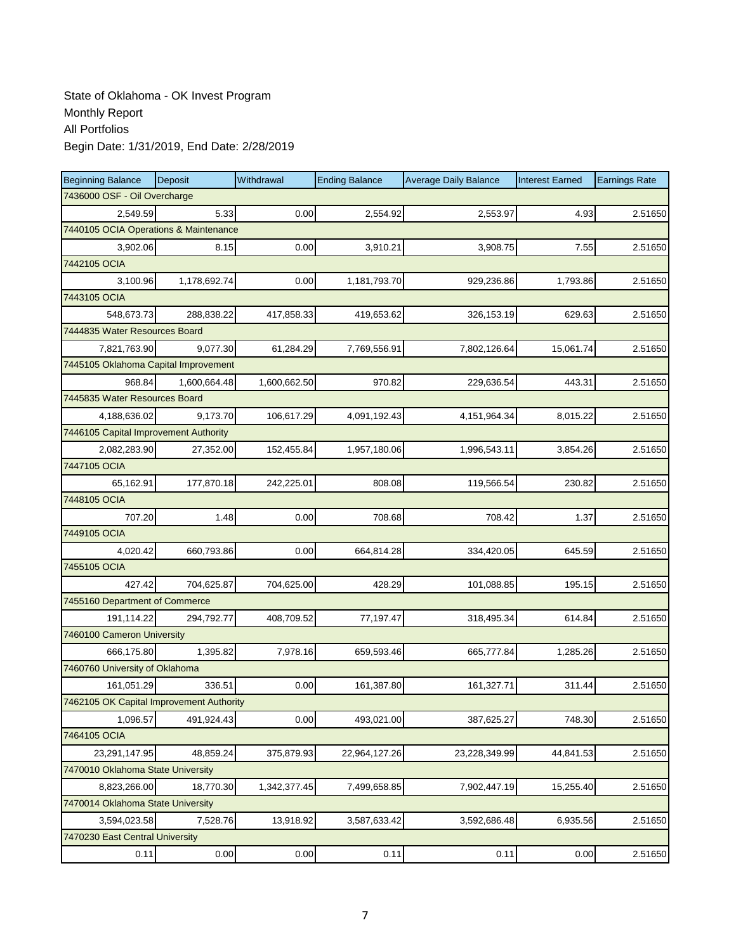| <b>Beginning Balance</b>                 | <b>Deposit</b>               | Withdrawal   | <b>Ending Balance</b> | <b>Average Daily Balance</b> | <b>Interest Earned</b> | <b>Earnings Rate</b> |  |  |  |
|------------------------------------------|------------------------------|--------------|-----------------------|------------------------------|------------------------|----------------------|--|--|--|
|                                          | 7436000 OSF - Oil Overcharge |              |                       |                              |                        |                      |  |  |  |
| 2,549.59                                 | 5.33                         | 0.00         | 2,554.92              | 2,553.97                     | 4.93                   | 2.51650              |  |  |  |
| 7440105 OCIA Operations & Maintenance    |                              |              |                       |                              |                        |                      |  |  |  |
| 3,902.06                                 | 8.15                         | 0.00         | 3,910.21              | 3,908.75                     | 7.55                   | 2.51650              |  |  |  |
| 7442105 OCIA                             |                              |              |                       |                              |                        |                      |  |  |  |
| 3,100.96                                 | 1,178,692.74                 | 0.00         | 1,181,793.70          | 929,236.86                   | 1,793.86               | 2.51650              |  |  |  |
| 7443105 OCIA                             |                              |              |                       |                              |                        |                      |  |  |  |
| 548,673.73                               | 288,838.22                   | 417,858.33   | 419,653.62            | 326,153.19                   | 629.63                 | 2.51650              |  |  |  |
| 7444835 Water Resources Board            |                              |              |                       |                              |                        |                      |  |  |  |
| 7,821,763.90                             | 9,077.30                     | 61,284.29    | 7,769,556.91          | 7,802,126.64                 | 15,061.74              | 2.51650              |  |  |  |
| 7445105 Oklahoma Capital Improvement     |                              |              |                       |                              |                        |                      |  |  |  |
| 968.84                                   | 1,600,664.48                 | 1,600,662.50 | 970.82                | 229,636.54                   | 443.31                 | 2.51650              |  |  |  |
| 7445835 Water Resources Board            |                              |              |                       |                              |                        |                      |  |  |  |
| 4,188,636.02                             | 9,173.70                     | 106,617.29   | 4,091,192.43          | 4, 151, 964. 34              | 8,015.22               | 2.51650              |  |  |  |
| 7446105 Capital Improvement Authority    |                              |              |                       |                              |                        |                      |  |  |  |
| 2,082,283.90                             | 27,352.00                    | 152,455.84   | 1,957,180.06          | 1,996,543.11                 | 3,854.26               | 2.51650              |  |  |  |
| 7447105 OCIA                             |                              |              |                       |                              |                        |                      |  |  |  |
| 65,162.91                                | 177,870.18                   | 242,225.01   | 808.08                | 119,566.54                   | 230.82                 | 2.51650              |  |  |  |
| 7448105 OCIA                             |                              |              |                       |                              |                        |                      |  |  |  |
| 707.20                                   | 1.48                         | 0.00         | 708.68                | 708.42                       | 1.37                   | 2.51650              |  |  |  |
| 7449105 OCIA                             |                              |              |                       |                              |                        |                      |  |  |  |
| 4,020.42                                 | 660,793.86                   | 0.00         | 664,814.28            | 334,420.05                   | 645.59                 | 2.51650              |  |  |  |
| 7455105 OCIA                             |                              |              |                       |                              |                        |                      |  |  |  |
| 427.42                                   | 704,625.87                   | 704,625.00   | 428.29                | 101,088.85                   | 195.15                 | 2.51650              |  |  |  |
| 7455160 Department of Commerce           |                              |              |                       |                              |                        |                      |  |  |  |
| 191,114.22                               | 294,792.77                   | 408,709.52   | 77,197.47             | 318,495.34                   | 614.84                 | 2.51650              |  |  |  |
| 7460100 Cameron University               |                              |              |                       |                              |                        |                      |  |  |  |
| 666,175.80                               | 1,395.82                     | 7,978.16     | 659,593.46            | 665,777.84                   | 1,285.26               | 2.51650              |  |  |  |
| 7460760 University of Oklahoma           |                              |              |                       |                              |                        |                      |  |  |  |
| 161,051.29                               | 336.51                       | 0.00         | 161,387.80            | 161,327.71                   | 311.44                 | 2.51650              |  |  |  |
| 7462105 OK Capital Improvement Authority |                              |              |                       |                              |                        |                      |  |  |  |
| 1,096.57                                 | 491,924.43                   | 0.00         | 493,021.00            | 387,625.27                   | 748.30                 | 2.51650              |  |  |  |
| 7464105 OCIA                             |                              |              |                       |                              |                        |                      |  |  |  |
| 23,291,147.95                            | 48,859.24                    | 375,879.93   | 22,964,127.26         | 23,228,349.99                | 44,841.53              | 2.51650              |  |  |  |
| 7470010 Oklahoma State University        |                              |              |                       |                              |                        |                      |  |  |  |
| 8,823,266.00                             | 18,770.30                    | 1,342,377.45 | 7,499,658.85          | 7,902,447.19                 | 15,255.40              | 2.51650              |  |  |  |
| 7470014 Oklahoma State University        |                              |              |                       |                              |                        |                      |  |  |  |
| 3,594,023.58                             | 7,528.76                     | 13,918.92    | 3,587,633.42          | 3,592,686.48                 | 6,935.56               | 2.51650              |  |  |  |
| 7470230 East Central University          |                              |              |                       |                              |                        |                      |  |  |  |
| 0.11                                     | 0.00                         | 0.00         | 0.11                  | 0.11                         | 0.00                   | 2.51650              |  |  |  |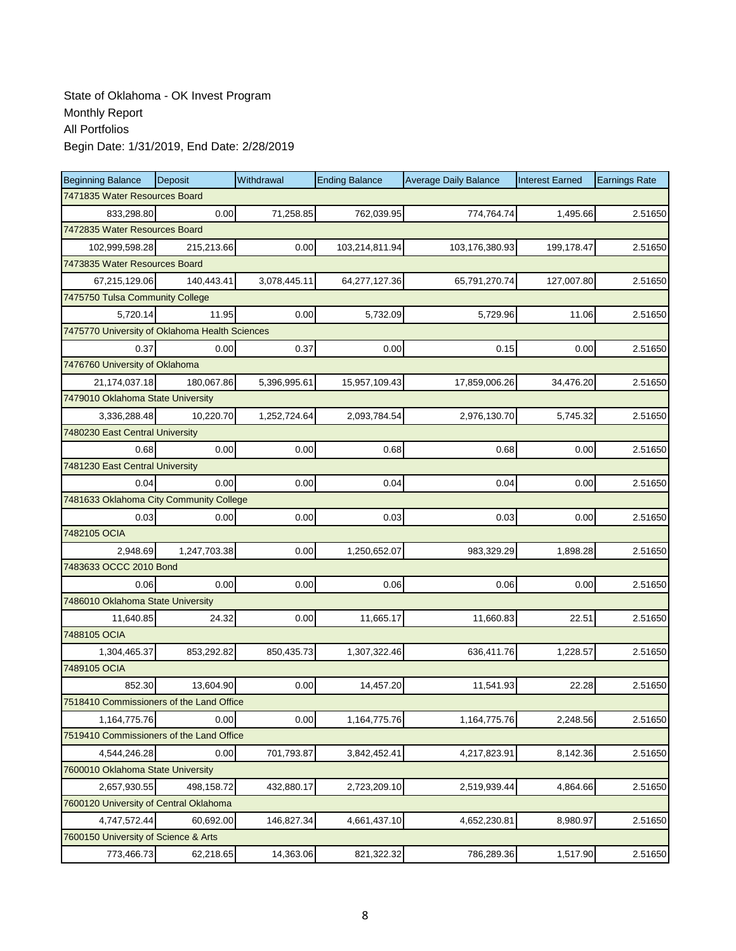| <b>Beginning Balance</b>                       | Deposit      | Withdrawal   | <b>Ending Balance</b> | <b>Average Daily Balance</b> | <b>Interest Earned</b> | <b>Earnings Rate</b> |  |  |  |
|------------------------------------------------|--------------|--------------|-----------------------|------------------------------|------------------------|----------------------|--|--|--|
| 7471835 Water Resources Board                  |              |              |                       |                              |                        |                      |  |  |  |
| 833,298.80                                     | 0.00         | 71,258.85    | 762,039.95            | 774,764.74                   | 1,495.66               | 2.51650              |  |  |  |
| 7472835 Water Resources Board                  |              |              |                       |                              |                        |                      |  |  |  |
| 102,999,598.28                                 | 215,213.66   | 0.00         | 103,214,811.94        | 103,176,380.93               | 199,178.47             | 2.51650              |  |  |  |
| 7473835 Water Resources Board                  |              |              |                       |                              |                        |                      |  |  |  |
| 67,215,129.06                                  | 140,443.41   | 3,078,445.11 | 64,277,127.36         | 65,791,270.74                | 127,007.80             | 2.51650              |  |  |  |
| 7475750 Tulsa Community College                |              |              |                       |                              |                        |                      |  |  |  |
| 5,720.14                                       | 11.95        | 0.00         | 5,732.09              | 5,729.96                     | 11.06                  | 2.51650              |  |  |  |
| 7475770 University of Oklahoma Health Sciences |              |              |                       |                              |                        |                      |  |  |  |
| 0.37                                           | 0.00         | 0.37         | 0.00                  | 0.15                         | 0.00                   | 2.51650              |  |  |  |
| 7476760 University of Oklahoma                 |              |              |                       |                              |                        |                      |  |  |  |
| 21,174,037.18                                  | 180,067.86   | 5,396,995.61 | 15,957,109.43         | 17,859,006.26                | 34,476.20              | 2.51650              |  |  |  |
| 7479010 Oklahoma State University              |              |              |                       |                              |                        |                      |  |  |  |
| 3,336,288.48                                   | 10,220.70    | 1,252,724.64 | 2,093,784.54          | 2,976,130.70                 | 5,745.32               | 2.51650              |  |  |  |
| 7480230 East Central University                |              |              |                       |                              |                        |                      |  |  |  |
| 0.68                                           | 0.00         | 0.00         | 0.68                  | 0.68                         | 0.00                   | 2.51650              |  |  |  |
| 7481230 East Central University                |              |              |                       |                              |                        |                      |  |  |  |
| 0.04                                           | 0.00         | 0.00         | 0.04                  | 0.04                         | 0.00                   | 2.51650              |  |  |  |
| 7481633 Oklahoma City Community College        |              |              |                       |                              |                        |                      |  |  |  |
| 0.03                                           | 0.00         | 0.00         | 0.03                  | 0.03                         | 0.00                   | 2.51650              |  |  |  |
| 7482105 OCIA                                   |              |              |                       |                              |                        |                      |  |  |  |
| 2,948.69                                       | 1,247,703.38 | 0.00         | 1,250,652.07          | 983,329.29                   | 1,898.28               | 2.51650              |  |  |  |
| 7483633 OCCC 2010 Bond                         |              |              |                       |                              |                        |                      |  |  |  |
| 0.06                                           | 0.00         | 0.00         | 0.06                  | 0.06                         | 0.00                   | 2.51650              |  |  |  |
| 7486010 Oklahoma State University              |              |              |                       |                              |                        |                      |  |  |  |
| 11,640.85                                      | 24.32        | 0.00         | 11,665.17             | 11,660.83                    | 22.51                  | 2.51650              |  |  |  |
| 7488105 OCIA                                   |              |              |                       |                              |                        |                      |  |  |  |
| 1,304,465.37                                   | 853,292.82   | 850,435.73   | 1,307,322.46          | 636,411.76                   | 1,228.57               | 2.51650              |  |  |  |
| 7489105 OCIA                                   |              |              |                       |                              |                        |                      |  |  |  |
| 852.30                                         | 13,604.90    | 0.00         | 14,457.20             | 11,541.93                    | 22.28                  | 2.51650              |  |  |  |
| 7518410 Commissioners of the Land Office       |              |              |                       |                              |                        |                      |  |  |  |
| 1,164,775.76                                   | 0.00         | 0.00         | 1,164,775.76          | 1,164,775.76                 | 2,248.56               | 2.51650              |  |  |  |
| 7519410 Commissioners of the Land Office       |              |              |                       |                              |                        |                      |  |  |  |
| 4,544,246.28                                   | 0.00         | 701,793.87   | 3,842,452.41          | 4,217,823.91                 | 8,142.36               | 2.51650              |  |  |  |
| 7600010 Oklahoma State University              |              |              |                       |                              |                        |                      |  |  |  |
| 2,657,930.55                                   | 498,158.72   | 432,880.17   | 2,723,209.10          | 2,519,939.44                 | 4,864.66               | 2.51650              |  |  |  |
| 7600120 University of Central Oklahoma         |              |              |                       |                              |                        |                      |  |  |  |
| 4,747,572.44                                   | 60,692.00    | 146,827.34   | 4,661,437.10          | 4,652,230.81                 | 8,980.97               | 2.51650              |  |  |  |
| 7600150 University of Science & Arts           |              |              |                       |                              |                        |                      |  |  |  |
| 773,466.73                                     | 62,218.65    | 14,363.06    | 821,322.32            | 786,289.36                   | 1,517.90               | 2.51650              |  |  |  |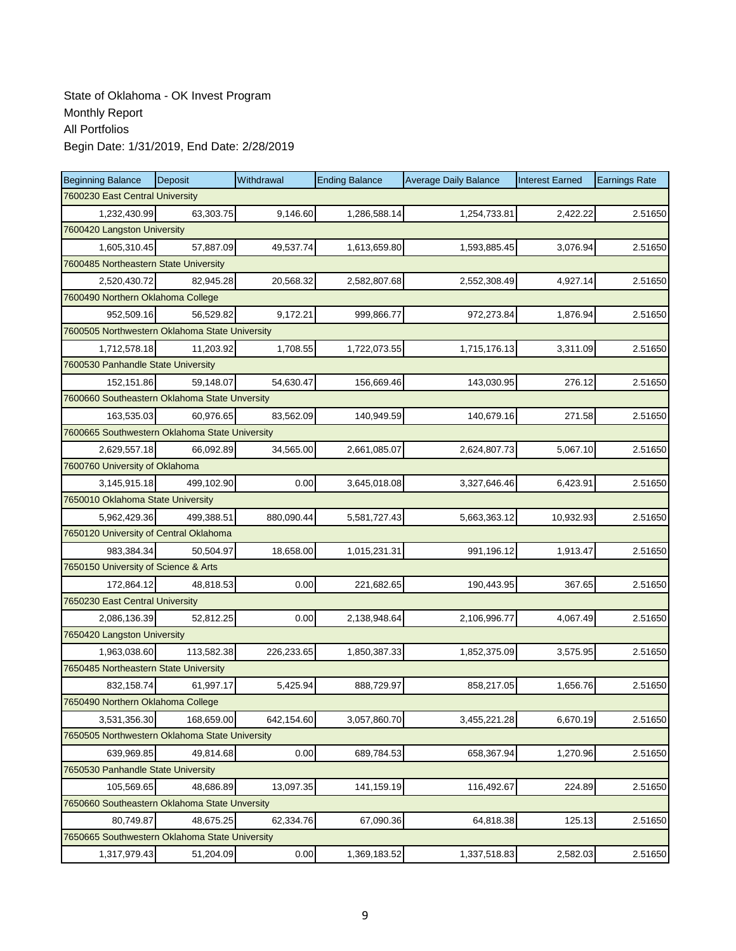| <b>Beginning Balance</b>                       | Deposit    | Withdrawal | <b>Ending Balance</b> | <b>Average Daily Balance</b> | <b>Interest Earned</b> | <b>Earnings Rate</b> |  |  |  |
|------------------------------------------------|------------|------------|-----------------------|------------------------------|------------------------|----------------------|--|--|--|
| 7600230 East Central University                |            |            |                       |                              |                        |                      |  |  |  |
| 1,232,430.99                                   | 63,303.75  | 9,146.60   | 1,286,588.14          | 1,254,733.81                 | 2,422.22               | 2.51650              |  |  |  |
| 7600420 Langston University                    |            |            |                       |                              |                        |                      |  |  |  |
| 1,605,310.45                                   | 57,887.09  | 49,537.74  | 1,613,659.80          | 1,593,885.45                 | 3,076.94               | 2.51650              |  |  |  |
| 7600485 Northeastern State University          |            |            |                       |                              |                        |                      |  |  |  |
| 2,520,430.72                                   | 82,945.28  | 20,568.32  | 2,582,807.68          | 2,552,308.49                 | 4,927.14               | 2.51650              |  |  |  |
| 7600490 Northern Oklahoma College              |            |            |                       |                              |                        |                      |  |  |  |
| 952,509.16                                     | 56,529.82  | 9,172.21   | 999,866.77            | 972,273.84                   | 1,876.94               | 2.51650              |  |  |  |
| 7600505 Northwestern Oklahoma State University |            |            |                       |                              |                        |                      |  |  |  |
| 1,712,578.18                                   | 11,203.92  | 1,708.55   | 1,722,073.55          | 1,715,176.13                 | 3,311.09               | 2.51650              |  |  |  |
| 7600530 Panhandle State University             |            |            |                       |                              |                        |                      |  |  |  |
| 152,151.86                                     | 59,148.07  | 54,630.47  | 156,669.46            | 143,030.95                   | 276.12                 | 2.51650              |  |  |  |
| 7600660 Southeastern Oklahoma State Unversity  |            |            |                       |                              |                        |                      |  |  |  |
| 163,535.03                                     | 60,976.65  | 83,562.09  | 140,949.59            | 140,679.16                   | 271.58                 | 2.51650              |  |  |  |
| 7600665 Southwestern Oklahoma State University |            |            |                       |                              |                        |                      |  |  |  |
| 2,629,557.18                                   | 66,092.89  | 34,565.00  | 2,661,085.07          | 2,624,807.73                 | 5,067.10               | 2.51650              |  |  |  |
| 7600760 University of Oklahoma                 |            |            |                       |                              |                        |                      |  |  |  |
| 3,145,915.18                                   | 499,102.90 | 0.00       | 3,645,018.08          | 3,327,646.46                 | 6,423.91               | 2.51650              |  |  |  |
| 7650010 Oklahoma State University              |            |            |                       |                              |                        |                      |  |  |  |
| 5,962,429.36                                   | 499,388.51 | 880,090.44 | 5,581,727.43          | 5,663,363.12                 | 10,932.93              | 2.51650              |  |  |  |
| 7650120 University of Central Oklahoma         |            |            |                       |                              |                        |                      |  |  |  |
| 983,384.34                                     | 50,504.97  | 18,658.00  | 1,015,231.31          | 991,196.12                   | 1,913.47               | 2.51650              |  |  |  |
| 7650150 University of Science & Arts           |            |            |                       |                              |                        |                      |  |  |  |
| 172,864.12                                     | 48,818.53  | 0.00       | 221,682.65            | 190,443.95                   | 367.65                 | 2.51650              |  |  |  |
| 7650230 East Central University                |            |            |                       |                              |                        |                      |  |  |  |
| 2,086,136.39                                   | 52,812.25  | 0.00       | 2,138,948.64          | 2,106,996.77                 | 4,067.49               | 2.51650              |  |  |  |
| 7650420 Langston University                    |            |            |                       |                              |                        |                      |  |  |  |
| 1,963,038.60                                   | 113,582.38 | 226,233.65 | 1,850,387.33          | 1,852,375.09                 | 3,575.95               | 2.51650              |  |  |  |
| 7650485 Northeastern State University          |            |            |                       |                              |                        |                      |  |  |  |
| 832,158.74                                     | 61,997.17  | 5,425.94   | 888,729.97            | 858,217.05                   | 1,656.76               | 2.51650              |  |  |  |
| 7650490 Northern Oklahoma College              |            |            |                       |                              |                        |                      |  |  |  |
| 3,531,356.30                                   | 168,659.00 | 642,154.60 | 3,057,860.70          | 3,455,221.28                 | 6,670.19               | 2.51650              |  |  |  |
| 7650505 Northwestern Oklahoma State University |            |            |                       |                              |                        |                      |  |  |  |
| 639,969.85                                     | 49,814.68  | 0.00       | 689,784.53            | 658,367.94                   | 1,270.96               | 2.51650              |  |  |  |
| 7650530 Panhandle State University             |            |            |                       |                              |                        |                      |  |  |  |
| 105,569.65                                     | 48,686.89  | 13,097.35  | 141,159.19            | 116,492.67                   | 224.89                 | 2.51650              |  |  |  |
| 7650660 Southeastern Oklahoma State Unversity  |            |            |                       |                              |                        |                      |  |  |  |
| 80,749.87                                      | 48,675.25  | 62,334.76  | 67,090.36             | 64,818.38                    | 125.13                 | 2.51650              |  |  |  |
| 7650665 Southwestern Oklahoma State University |            |            |                       |                              |                        |                      |  |  |  |
| 1,317,979.43                                   | 51,204.09  | 0.00       | 1,369,183.52          | 1,337,518.83                 | 2,582.03               | 2.51650              |  |  |  |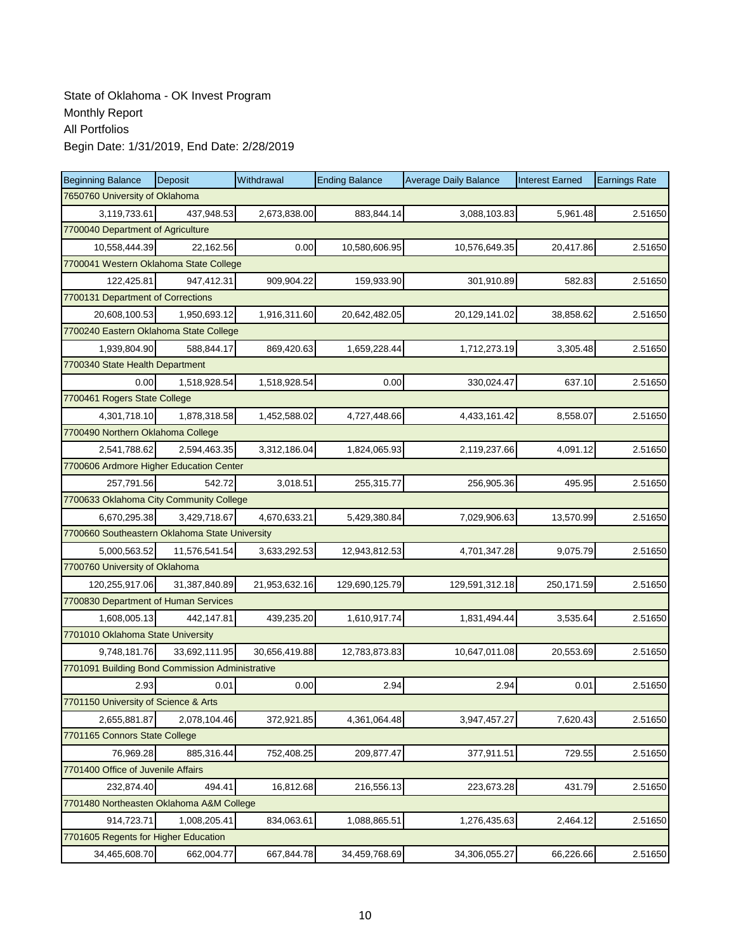| <b>Beginning Balance</b>                        | <b>Deposit</b> | Withdrawal    | <b>Ending Balance</b> | <b>Average Daily Balance</b> | <b>Interest Earned</b> | <b>Earnings Rate</b> |  |  |  |
|-------------------------------------------------|----------------|---------------|-----------------------|------------------------------|------------------------|----------------------|--|--|--|
| 7650760 University of Oklahoma                  |                |               |                       |                              |                        |                      |  |  |  |
| 3,119,733.61                                    | 437,948.53     | 2,673,838.00  | 883,844.14            | 3,088,103.83                 | 5,961.48               | 2.51650              |  |  |  |
| 7700040 Department of Agriculture               |                |               |                       |                              |                        |                      |  |  |  |
| 10,558,444.39                                   | 22,162.56      | 0.00          | 10,580,606.95         | 10,576,649.35                | 20,417.86              | 2.51650              |  |  |  |
| 7700041 Western Oklahoma State College          |                |               |                       |                              |                        |                      |  |  |  |
| 122,425.81                                      | 947,412.31     | 909,904.22    | 159,933.90            | 301,910.89                   | 582.83                 | 2.51650              |  |  |  |
| 7700131 Department of Corrections               |                |               |                       |                              |                        |                      |  |  |  |
| 20,608,100.53                                   | 1,950,693.12   | 1,916,311.60  | 20,642,482.05         | 20,129,141.02                | 38,858.62              | 2.51650              |  |  |  |
| 7700240 Eastern Oklahoma State College          |                |               |                       |                              |                        |                      |  |  |  |
| 1,939,804.90                                    | 588,844.17     | 869,420.63    | 1,659,228.44          | 1,712,273.19                 | 3,305.48               | 2.51650              |  |  |  |
| 7700340 State Health Department                 |                |               |                       |                              |                        |                      |  |  |  |
| 0.00                                            | 1,518,928.54   | 1,518,928.54  | 0.00                  | 330,024.47                   | 637.10                 | 2.51650              |  |  |  |
| 7700461 Rogers State College                    |                |               |                       |                              |                        |                      |  |  |  |
| 4,301,718.10                                    | 1,878,318.58   | 1,452,588.02  | 4,727,448.66          | 4,433,161.42                 | 8,558.07               | 2.51650              |  |  |  |
| 7700490 Northern Oklahoma College               |                |               |                       |                              |                        |                      |  |  |  |
| 2,541,788.62                                    | 2,594,463.35   | 3,312,186.04  | 1,824,065.93          | 2,119,237.66                 | 4,091.12               | 2.51650              |  |  |  |
| 7700606 Ardmore Higher Education Center         |                |               |                       |                              |                        |                      |  |  |  |
| 257,791.56                                      | 542.72         | 3,018.51      | 255,315.77            | 256,905.36                   | 495.95                 | 2.51650              |  |  |  |
| 7700633 Oklahoma City Community College         |                |               |                       |                              |                        |                      |  |  |  |
| 6,670,295.38                                    | 3,429,718.67   | 4,670,633.21  | 5,429,380.84          | 7,029,906.63                 | 13,570.99              | 2.51650              |  |  |  |
| 7700660 Southeastern Oklahoma State University  |                |               |                       |                              |                        |                      |  |  |  |
| 5,000,563.52                                    | 11,576,541.54  | 3,633,292.53  | 12,943,812.53         | 4,701,347.28                 | 9,075.79               | 2.51650              |  |  |  |
| 7700760 University of Oklahoma                  |                |               |                       |                              |                        |                      |  |  |  |
| 120,255,917.06                                  | 31,387,840.89  | 21,953,632.16 | 129,690,125.79        | 129,591,312.18               | 250,171.59             | 2.51650              |  |  |  |
| 7700830 Department of Human Services            |                |               |                       |                              |                        |                      |  |  |  |
| 1,608,005.13                                    | 442,147.81     | 439,235.20    | 1,610,917.74          | 1,831,494.44                 | 3,535.64               | 2.51650              |  |  |  |
| 7701010 Oklahoma State University               |                |               |                       |                              |                        |                      |  |  |  |
| 9,748,181.76                                    | 33,692,111.95  | 30,656,419.88 | 12,783,873.83         | 10,647,011.08                | 20,553.69              | 2.51650              |  |  |  |
| 7701091 Building Bond Commission Administrative |                |               |                       |                              |                        |                      |  |  |  |
| 2.93                                            | 0.01           | 0.00          | 2.94                  | 2.94                         | 0.01                   | 2.51650              |  |  |  |
| 7701150 University of Science & Arts            |                |               |                       |                              |                        |                      |  |  |  |
| 2,655,881.87                                    | 2,078,104.46   | 372,921.85    | 4,361,064.48          | 3,947,457.27                 | 7,620.43               | 2.51650              |  |  |  |
| 7701165 Connors State College                   |                |               |                       |                              |                        |                      |  |  |  |
| 76,969.28                                       | 885,316.44     | 752,408.25    | 209,877.47            | 377,911.51                   | 729.55                 | 2.51650              |  |  |  |
| 7701400 Office of Juvenile Affairs              |                |               |                       |                              |                        |                      |  |  |  |
| 232,874.40                                      | 494.41         | 16,812.68     | 216,556.13            | 223,673.28                   | 431.79                 | 2.51650              |  |  |  |
| 7701480 Northeasten Oklahoma A&M College        |                |               |                       |                              |                        |                      |  |  |  |
| 914,723.71                                      | 1,008,205.41   | 834,063.61    | 1,088,865.51          | 1,276,435.63                 | 2,464.12               | 2.51650              |  |  |  |
| 7701605 Regents for Higher Education            |                |               |                       |                              |                        |                      |  |  |  |
| 34,465,608.70                                   | 662,004.77     | 667,844.78    | 34,459,768.69         | 34,306,055.27                | 66,226.66              | 2.51650              |  |  |  |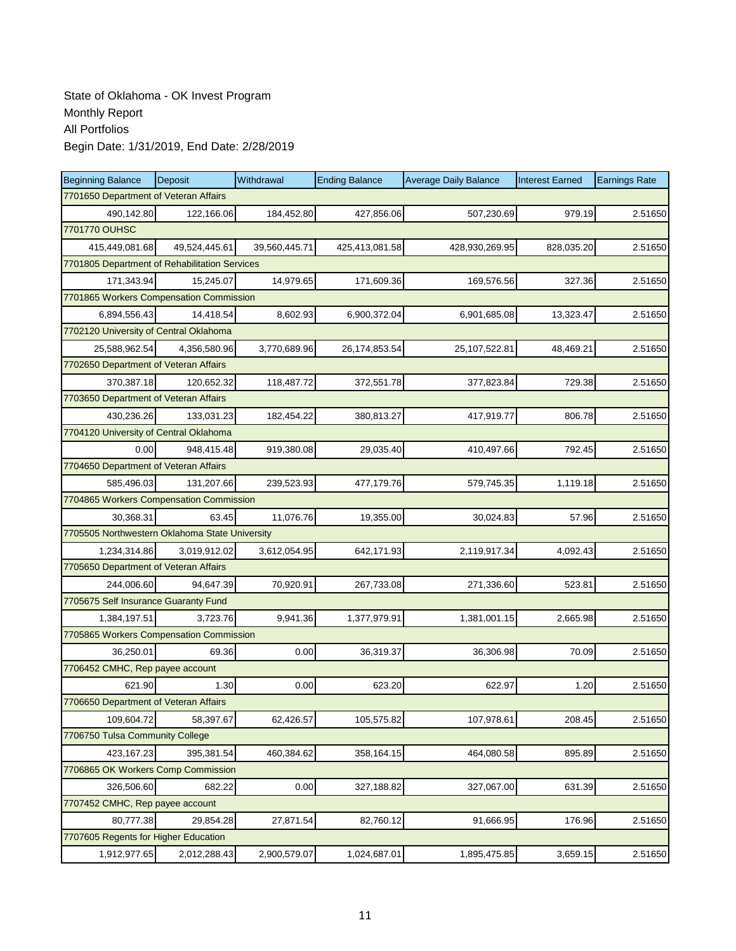| <b>Beginning Balance</b>                       | Deposit                                 | Withdrawal    | <b>Ending Balance</b> | <b>Average Daily Balance</b> | <b>Interest Earned</b> | <b>Earnings Rate</b> |  |  |  |  |
|------------------------------------------------|-----------------------------------------|---------------|-----------------------|------------------------------|------------------------|----------------------|--|--|--|--|
| 7701650 Department of Veteran Affairs          |                                         |               |                       |                              |                        |                      |  |  |  |  |
| 490,142.80                                     | 122,166.06                              | 184,452.80    | 427,856.06            | 507,230.69                   | 979.19                 | 2.51650              |  |  |  |  |
| 7701770 OUHSC                                  |                                         |               |                       |                              |                        |                      |  |  |  |  |
| 415,449,081.68                                 | 49,524,445.61                           | 39,560,445.71 | 425,413,081.58        | 428,930,269.95               | 828,035.20             | 2.51650              |  |  |  |  |
| 7701805 Department of Rehabilitation Services  |                                         |               |                       |                              |                        |                      |  |  |  |  |
| 171,343.94                                     | 15,245.07                               | 14,979.65     | 171,609.36            | 169,576.56                   | 327.36                 | 2.51650              |  |  |  |  |
|                                                | 7701865 Workers Compensation Commission |               |                       |                              |                        |                      |  |  |  |  |
| 6,894,556.43                                   | 14,418.54                               | 8,602.93      | 6,900,372.04          | 6,901,685.08                 | 13,323.47              | 2.51650              |  |  |  |  |
| 7702120 University of Central Oklahoma         |                                         |               |                       |                              |                        |                      |  |  |  |  |
| 25,588,962.54                                  | 4,356,580.96                            | 3,770,689.96  | 26,174,853.54         | 25,107,522.81                | 48,469.21              | 2.51650              |  |  |  |  |
| 7702650 Department of Veteran Affairs          |                                         |               |                       |                              |                        |                      |  |  |  |  |
| 370,387.18                                     | 120,652.32                              | 118,487.72    | 372,551.78            | 377,823.84                   | 729.38                 | 2.51650              |  |  |  |  |
| 7703650 Department of Veteran Affairs          |                                         |               |                       |                              |                        |                      |  |  |  |  |
| 430,236.26                                     | 133,031.23                              | 182,454.22    | 380,813.27            | 417,919.77                   | 806.78                 | 2.51650              |  |  |  |  |
| 7704120 University of Central Oklahoma         |                                         |               |                       |                              |                        |                      |  |  |  |  |
| 0.00                                           | 948,415.48                              | 919,380.08    | 29,035.40             | 410,497.66                   | 792.45                 | 2.51650              |  |  |  |  |
| 7704650 Department of Veteran Affairs          |                                         |               |                       |                              |                        |                      |  |  |  |  |
| 585.496.03                                     | 131,207.66                              | 239,523.93    | 477,179.76            | 579,745.35                   | 1,119.18               | 2.51650              |  |  |  |  |
| 7704865 Workers Compensation Commission        |                                         |               |                       |                              |                        |                      |  |  |  |  |
| 30,368.31                                      | 63.45                                   | 11,076.76     | 19,355.00             | 30,024.83                    | 57.96                  | 2.51650              |  |  |  |  |
| 7705505 Northwestern Oklahoma State University |                                         |               |                       |                              |                        |                      |  |  |  |  |
| 1,234,314.86                                   | 3,019,912.02                            | 3,612,054.95  | 642,171.93            | 2,119,917.34                 | 4,092.43               | 2.51650              |  |  |  |  |
| 7705650 Department of Veteran Affairs          |                                         |               |                       |                              |                        |                      |  |  |  |  |
| 244,006.60                                     | 94,647.39                               | 70,920.91     | 267,733.08            | 271,336.60                   | 523.81                 | 2.51650              |  |  |  |  |
| 7705675 Self Insurance Guaranty Fund           |                                         |               |                       |                              |                        |                      |  |  |  |  |
| 1,384,197.51                                   | 3,723.76                                | 9,941.36      | 1,377,979.91          | 1,381,001.15                 | 2,665.98               | 2.51650              |  |  |  |  |
| 7705865 Workers Compensation Commission        |                                         |               |                       |                              |                        |                      |  |  |  |  |
| 36,250.01                                      | 69.36                                   | 0.00          | 36,319.37             | 36,306.98                    | 70.09                  | 2.51650              |  |  |  |  |
| 7706452 CMHC, Rep payee account                |                                         |               |                       |                              |                        |                      |  |  |  |  |
| 621.90                                         | 1.30                                    | 0.00          | 623.20                | 622.97                       | 1.20                   | 2.51650              |  |  |  |  |
| 7706650 Department of Veteran Affairs          |                                         |               |                       |                              |                        |                      |  |  |  |  |
| 109,604.72                                     | 58,397.67                               | 62,426.57     | 105,575.82            | 107,978.61                   | 208.45                 | 2.51650              |  |  |  |  |
| 7706750 Tulsa Community College                |                                         |               |                       |                              |                        |                      |  |  |  |  |
| 423,167.23                                     | 395,381.54                              | 460,384.62    | 358,164.15            | 464,080.58                   | 895.89                 | 2.51650              |  |  |  |  |
| 7706865 OK Workers Comp Commission             |                                         |               |                       |                              |                        |                      |  |  |  |  |
| 326,506.60                                     | 682.22                                  | 0.00          | 327,188.82            | 327,067.00                   | 631.39                 | 2.51650              |  |  |  |  |
| 7707452 CMHC, Rep payee account                |                                         |               |                       |                              |                        |                      |  |  |  |  |
| 80,777.38                                      | 29,854.28                               | 27,871.54     | 82,760.12             | 91,666.95                    | 176.96                 | 2.51650              |  |  |  |  |
| 7707605 Regents for Higher Education           |                                         |               |                       |                              |                        |                      |  |  |  |  |
| 1,912,977.65                                   | 2,012,288.43                            | 2,900,579.07  | 1,024,687.01          | 1,895,475.85                 | 3,659.15               | 2.51650              |  |  |  |  |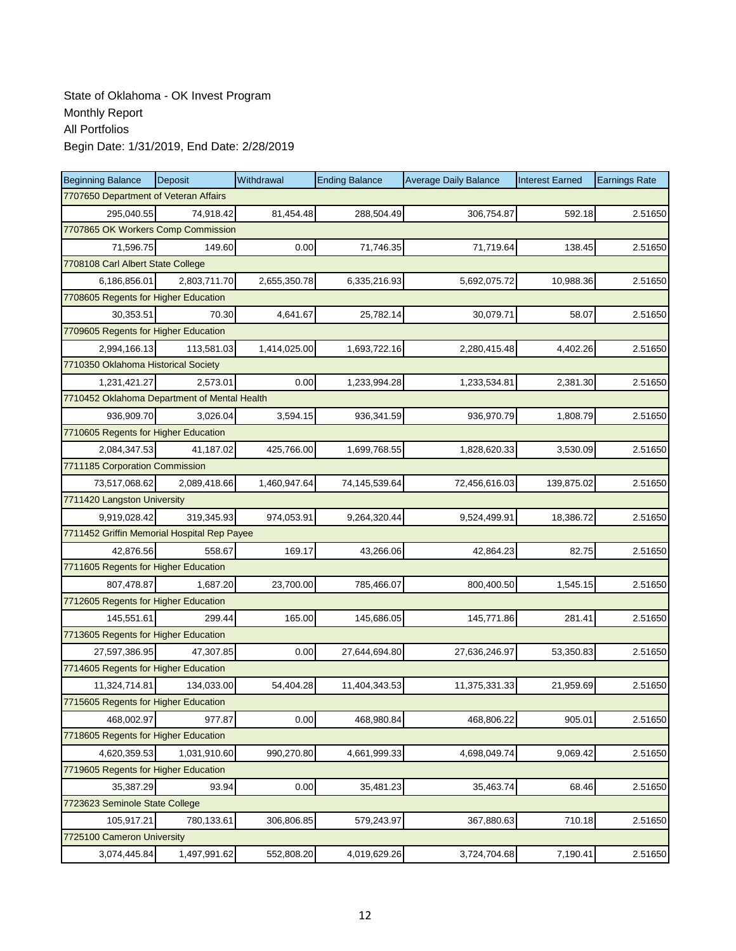| <b>Beginning Balance</b>                     | <b>Deposit</b> | Withdrawal   | <b>Ending Balance</b> | <b>Average Daily Balance</b> | <b>Interest Earned</b> | <b>Earnings Rate</b> |  |  |  |
|----------------------------------------------|----------------|--------------|-----------------------|------------------------------|------------------------|----------------------|--|--|--|
| 7707650 Department of Veteran Affairs        |                |              |                       |                              |                        |                      |  |  |  |
| 295,040.55                                   | 74,918.42      | 81,454.48    | 288,504.49            | 306,754.87                   | 592.18                 | 2.51650              |  |  |  |
| 7707865 OK Workers Comp Commission           |                |              |                       |                              |                        |                      |  |  |  |
| 71,596.75                                    | 149.60         | 0.00         | 71,746.35             | 71,719.64                    | 138.45                 | 2.51650              |  |  |  |
| 7708108 Carl Albert State College            |                |              |                       |                              |                        |                      |  |  |  |
| 6,186,856.01                                 | 2,803,711.70   | 2,655,350.78 | 6,335,216.93          | 5,692,075.72                 | 10,988.36              | 2.51650              |  |  |  |
| 7708605 Regents for Higher Education         |                |              |                       |                              |                        |                      |  |  |  |
| 30,353.51                                    | 70.30          | 4,641.67     | 25,782.14             | 30,079.71                    | 58.07                  | 2.51650              |  |  |  |
| 7709605 Regents for Higher Education         |                |              |                       |                              |                        |                      |  |  |  |
| 2,994,166.13                                 | 113,581.03     | 1,414,025.00 | 1,693,722.16          | 2,280,415.48                 | 4,402.26               | 2.51650              |  |  |  |
| 7710350 Oklahoma Historical Society          |                |              |                       |                              |                        |                      |  |  |  |
| 1,231,421.27                                 | 2,573.01       | 0.00         | 1,233,994.28          | 1,233,534.81                 | 2,381.30               | 2.51650              |  |  |  |
| 7710452 Oklahoma Department of Mental Health |                |              |                       |                              |                        |                      |  |  |  |
| 936,909.70                                   | 3,026.04       | 3,594.15     | 936,341.59            | 936,970.79                   | 1,808.79               | 2.51650              |  |  |  |
| 7710605 Regents for Higher Education         |                |              |                       |                              |                        |                      |  |  |  |
| 2,084,347.53                                 | 41,187.02      | 425,766.00   | 1,699,768.55          | 1,828,620.33                 | 3,530.09               | 2.51650              |  |  |  |
| 7711185 Corporation Commission               |                |              |                       |                              |                        |                      |  |  |  |
| 73,517,068.62                                | 2,089,418.66   | 1,460,947.64 | 74,145,539.64         | 72,456,616.03                | 139,875.02             | 2.51650              |  |  |  |
| 7711420 Langston University                  |                |              |                       |                              |                        |                      |  |  |  |
| 9,919,028.42                                 | 319,345.93     | 974,053.91   | 9,264,320.44          | 9,524,499.91                 | 18,386.72              | 2.51650              |  |  |  |
| 7711452 Griffin Memorial Hospital Rep Payee  |                |              |                       |                              |                        |                      |  |  |  |
| 42,876.56                                    | 558.67         | 169.17       | 43,266.06             | 42,864.23                    | 82.75                  | 2.51650              |  |  |  |
| 7711605 Regents for Higher Education         |                |              |                       |                              |                        |                      |  |  |  |
| 807,478.87                                   | 1,687.20       | 23,700.00    | 785,466.07            | 800,400.50                   | 1,545.15               | 2.51650              |  |  |  |
| 7712605 Regents for Higher Education         |                |              |                       |                              |                        |                      |  |  |  |
| 145,551.61                                   | 299.44         | 165.00       | 145,686.05            | 145,771.86                   | 281.41                 | 2.51650              |  |  |  |
| 7713605 Regents for Higher Education         |                |              |                       |                              |                        |                      |  |  |  |
| 27,597,386.95                                | 47,307.85      | 0.00         | 27,644,694.80         | 27,636,246.97                | 53,350.83              | 2.51650              |  |  |  |
| 7714605 Regents for Higher Education         |                |              |                       |                              |                        |                      |  |  |  |
| 11,324,714.81                                | 134,033.00     | 54,404.28    | 11,404,343.53         | 11,375,331.33                | 21,959.69              | 2.51650              |  |  |  |
| 7715605 Regents for Higher Education         |                |              |                       |                              |                        |                      |  |  |  |
| 468,002.97                                   | 977.87         | 0.00         | 468,980.84            | 468,806.22                   | 905.01                 | 2.51650              |  |  |  |
| 7718605 Regents for Higher Education         |                |              |                       |                              |                        |                      |  |  |  |
| 4,620,359.53                                 | 1.031.910.60   | 990,270.80   | 4,661,999.33          | 4,698,049.74                 | 9,069.42               | 2.51650              |  |  |  |
| 7719605 Regents for Higher Education         |                |              |                       |                              |                        |                      |  |  |  |
| 35,387.29                                    | 93.94          | 0.00         | 35,481.23             | 35,463.74                    | 68.46                  | 2.51650              |  |  |  |
| 7723623 Seminole State College               |                |              |                       |                              |                        |                      |  |  |  |
| 105,917.21                                   | 780,133.61     | 306,806.85   | 579,243.97            | 367,880.63                   | 710.18                 | 2.51650              |  |  |  |
| 7725100 Cameron University                   |                |              |                       |                              |                        |                      |  |  |  |
| 3,074,445.84                                 | 1,497,991.62   | 552,808.20   | 4,019,629.26          | 3,724,704.68                 | 7,190.41               | 2.51650              |  |  |  |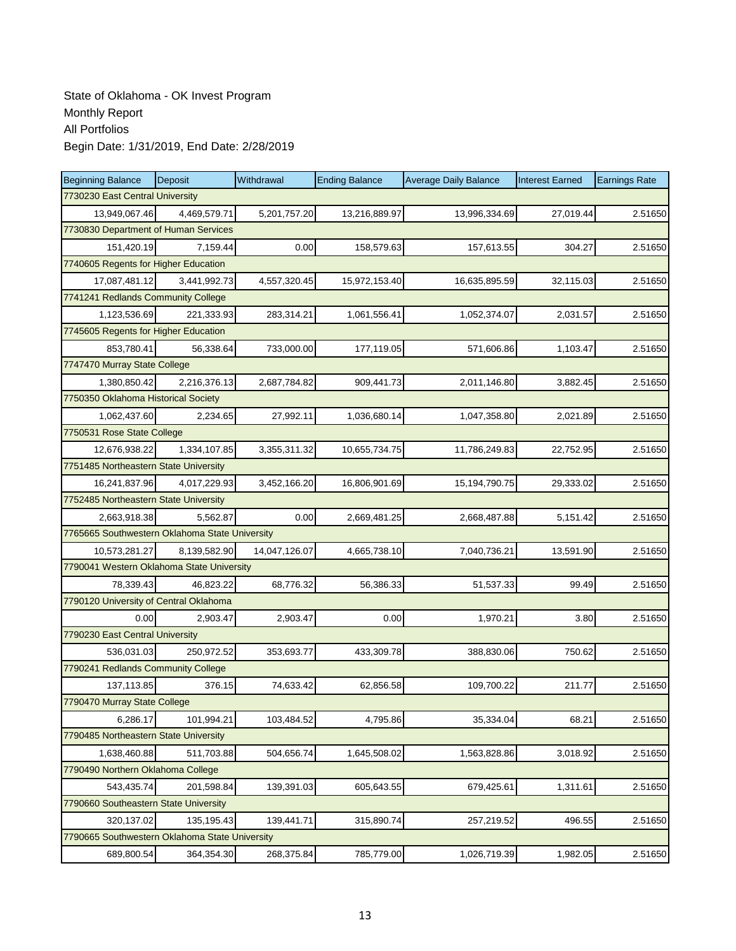| <b>Beginning Balance</b>                       | Deposit      | Withdrawal    | <b>Ending Balance</b> | <b>Average Daily Balance</b> | <b>Interest Earned</b> | <b>Earnings Rate</b> |  |  |  |  |
|------------------------------------------------|--------------|---------------|-----------------------|------------------------------|------------------------|----------------------|--|--|--|--|
| 7730230 East Central University                |              |               |                       |                              |                        |                      |  |  |  |  |
| 13.949.067.46                                  | 4,469,579.71 | 5,201,757.20  | 13,216,889.97         | 13,996,334.69                | 27,019.44              | 2.51650              |  |  |  |  |
| 7730830 Department of Human Services           |              |               |                       |                              |                        |                      |  |  |  |  |
| 151,420.19                                     | 7,159.44     | 0.00          | 158,579.63            | 157,613.55                   | 304.27                 | 2.51650              |  |  |  |  |
| 7740605 Regents for Higher Education           |              |               |                       |                              |                        |                      |  |  |  |  |
| 17,087,481.12                                  | 3,441,992.73 | 4,557,320.45  | 15,972,153.40         | 16,635,895.59                | 32,115.03              | 2.51650              |  |  |  |  |
| 7741241 Redlands Community College             |              |               |                       |                              |                        |                      |  |  |  |  |
| 1,123,536.69                                   | 221,333.93   | 283,314.21    | 1,061,556.41          | 1,052,374.07                 | 2,031.57               | 2.51650              |  |  |  |  |
| 7745605 Regents for Higher Education           |              |               |                       |                              |                        |                      |  |  |  |  |
| 853,780.41                                     | 56,338.64    | 733,000.00    | 177,119.05            | 571,606.86                   | 1,103.47               | 2.51650              |  |  |  |  |
| 7747470 Murray State College                   |              |               |                       |                              |                        |                      |  |  |  |  |
| 1,380,850.42                                   | 2,216,376.13 | 2,687,784.82  | 909,441.73            | 2,011,146.80                 | 3,882.45               | 2.51650              |  |  |  |  |
| 7750350 Oklahoma Historical Society            |              |               |                       |                              |                        |                      |  |  |  |  |
| 1,062,437.60                                   | 2,234.65     | 27,992.11     | 1,036,680.14          | 1,047,358.80                 | 2,021.89               | 2.51650              |  |  |  |  |
| 7750531 Rose State College                     |              |               |                       |                              |                        |                      |  |  |  |  |
| 12,676,938.22                                  | 1,334,107.85 | 3,355,311.32  | 10,655,734.75         | 11,786,249.83                | 22,752.95              | 2.51650              |  |  |  |  |
| 7751485 Northeastern State University          |              |               |                       |                              |                        |                      |  |  |  |  |
| 16,241,837.96                                  | 4,017,229.93 | 3,452,166.20  | 16,806,901.69         | 15,194,790.75                | 29,333.02              | 2.51650              |  |  |  |  |
| 7752485 Northeastern State University          |              |               |                       |                              |                        |                      |  |  |  |  |
| 2,663,918.38                                   | 5,562.87     | 0.00          | 2,669,481.25          | 2,668,487.88                 | 5,151.42               | 2.51650              |  |  |  |  |
| 7765665 Southwestern Oklahoma State University |              |               |                       |                              |                        |                      |  |  |  |  |
| 10,573,281.27                                  | 8,139,582.90 | 14,047,126.07 | 4,665,738.10          | 7,040,736.21                 | 13,591.90              | 2.51650              |  |  |  |  |
| 7790041 Western Oklahoma State University      |              |               |                       |                              |                        |                      |  |  |  |  |
| 78,339.43                                      | 46,823.22    | 68,776.32     | 56,386.33             | 51,537.33                    | 99.49                  | 2.51650              |  |  |  |  |
| 7790120 University of Central Oklahoma         |              |               |                       |                              |                        |                      |  |  |  |  |
| 0.00                                           | 2,903.47     | 2,903.47      | 0.00                  | 1,970.21                     | 3.80                   | 2.51650              |  |  |  |  |
| 7790230 East Central University                |              |               |                       |                              |                        |                      |  |  |  |  |
| 536,031.03                                     | 250,972.52   | 353,693.77    | 433,309.78            | 388,830.06                   | 750.62                 | 2.51650              |  |  |  |  |
| 7790241 Redlands Community College             |              |               |                       |                              |                        |                      |  |  |  |  |
| 137,113.85                                     | 376.15       | 74,633.42     | 62,856.58             | 109,700.22                   | 211.77                 | 2.51650              |  |  |  |  |
| 7790470 Murray State College                   |              |               |                       |                              |                        |                      |  |  |  |  |
| 6,286.17                                       | 101,994.21   | 103,484.52    | 4,795.86              | 35,334.04                    | 68.21                  | 2.51650              |  |  |  |  |
| 7790485 Northeastern State University          |              |               |                       |                              |                        |                      |  |  |  |  |
| 1,638,460.88                                   | 511,703.88   | 504,656.74    | 1,645,508.02          | 1,563,828.86                 | 3,018.92               | 2.51650              |  |  |  |  |
| 7790490 Northern Oklahoma College              |              |               |                       |                              |                        |                      |  |  |  |  |
| 543,435.74                                     | 201,598.84   | 139,391.03    | 605,643.55            | 679,425.61                   | 1,311.61               | 2.51650              |  |  |  |  |
| 7790660 Southeastern State University          |              |               |                       |                              |                        |                      |  |  |  |  |
| 320,137.02                                     | 135,195.43   | 139,441.71    | 315,890.74            | 257,219.52                   | 496.55                 | 2.51650              |  |  |  |  |
| 7790665 Southwestern Oklahoma State University |              |               |                       |                              |                        |                      |  |  |  |  |
| 689,800.54                                     | 364,354.30   | 268,375.84    | 785,779.00            | 1,026,719.39                 | 1,982.05               | 2.51650              |  |  |  |  |